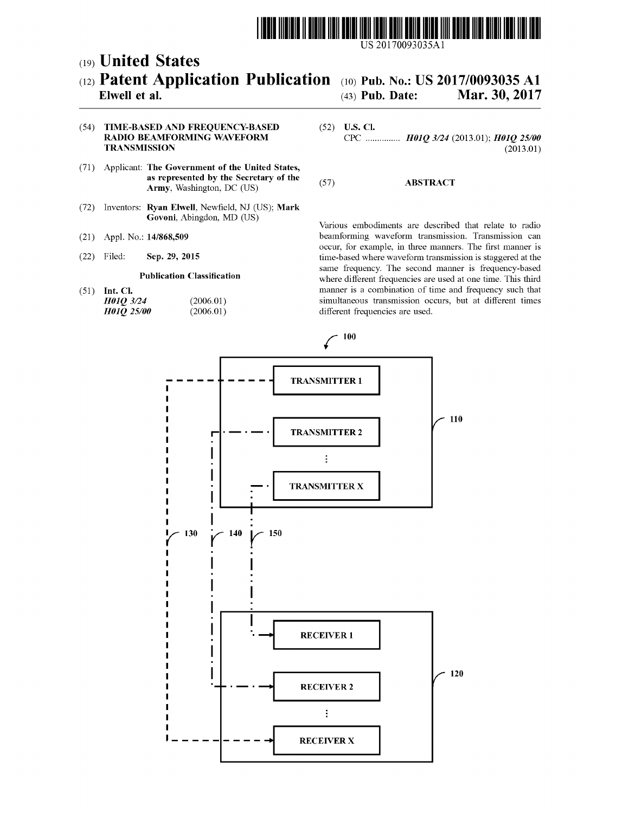

# (19) United States

## (12) Patent Application Publication (10) Pub. No.: US 2017/0093035 A1<br>Elwell et al. (43) Pub. Date: Mar. 30, 2017 Mar. 30, 2017

(54) TIME-BASED AND FREQUENCY-BASED (52) U.S. Cl.<br>RADIO BEAMFORMING WAVEFORM (PC ..... **TRANSMISSION** 

- (71) Applicant: The Government of the United States, as represented by the Secretary of the as represented by the secretary of the  $(57)$  ABSTRACT<br>Army, Washington, DC (US)
- (72) Inventors: Ryan Elwell, Newfield, NJ (US); Mark
- 
- 

CPC ................ H01Q 3/24 (2013.01); H01Q 25/00 (2013.01)

Various embodiments are described that relate to radio (21) Appl. No.: 14/868,509 beam forming waveform transmission. Transmission can occur, for example, in three manners. The first manner is (22) Filed: Sep. 29, 2015 time-based where waveform transmission is staggered at the **Publication Classification**<br>Publication Classification<br>Notes the second manner is frequency-based<br>publication Classification where different frequencies are used at one time. This third (51) Int. Cl. manner is a combination of time and frequency such that  $H01Q$   $3/24$  (2006.01) manner is a combination occurs, but at different times  $H01Q$   $3/24$  (2006.01) simultaneous transmission occurs, but at different times  $H01Q$   $25/00$  (2006.01) different frequencies are used. different frequencies are used.

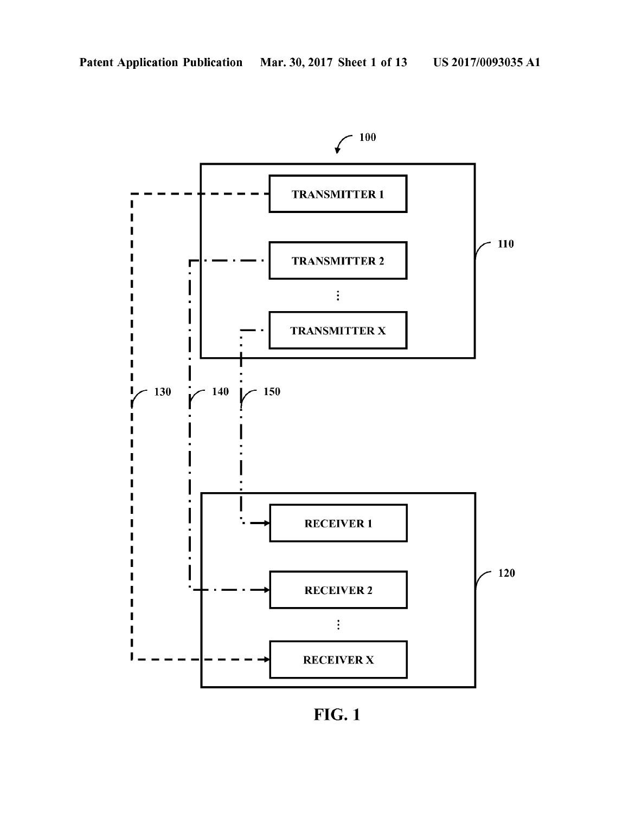

FIG. 1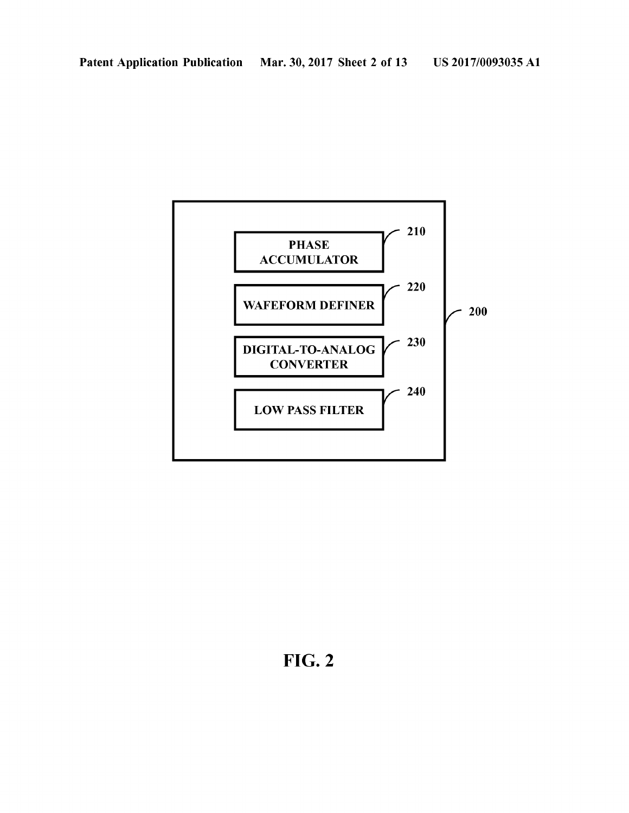

**FIG. 2**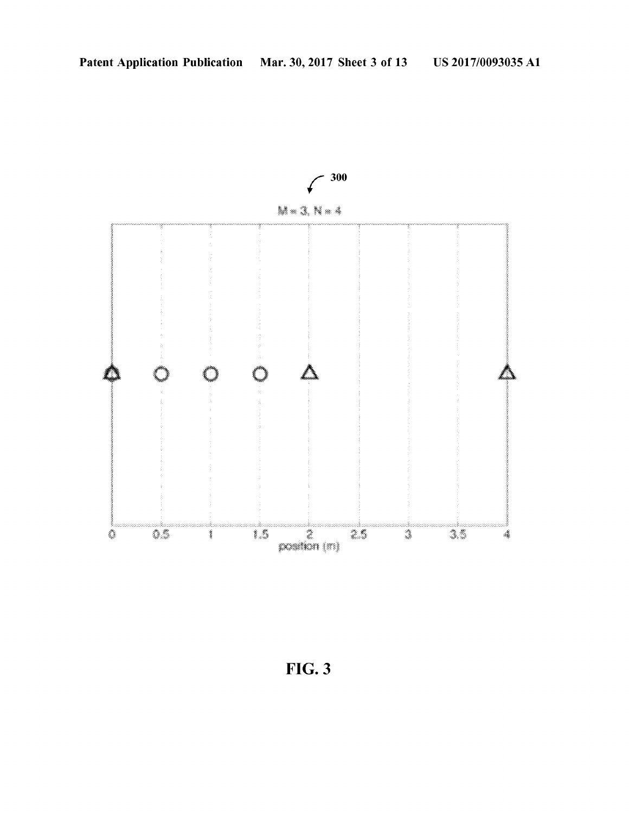

FIG. 3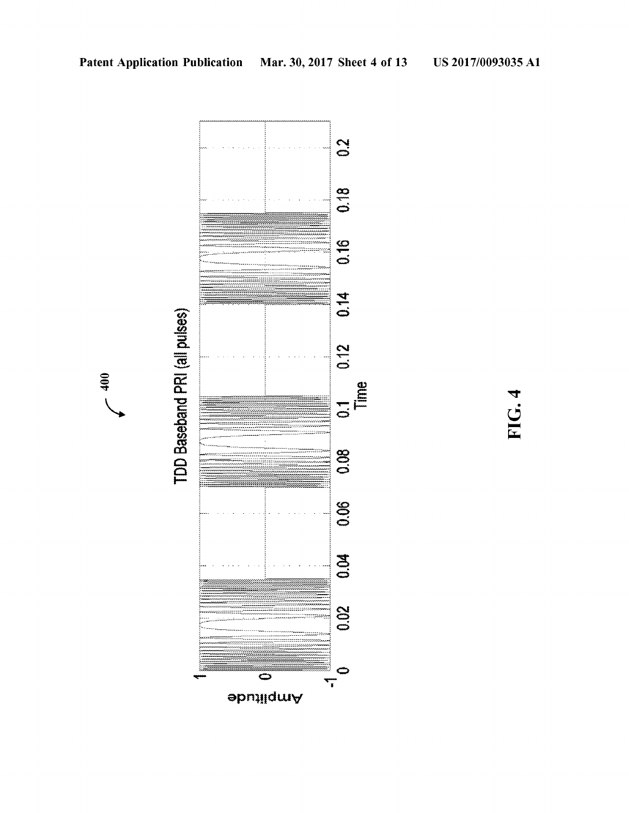

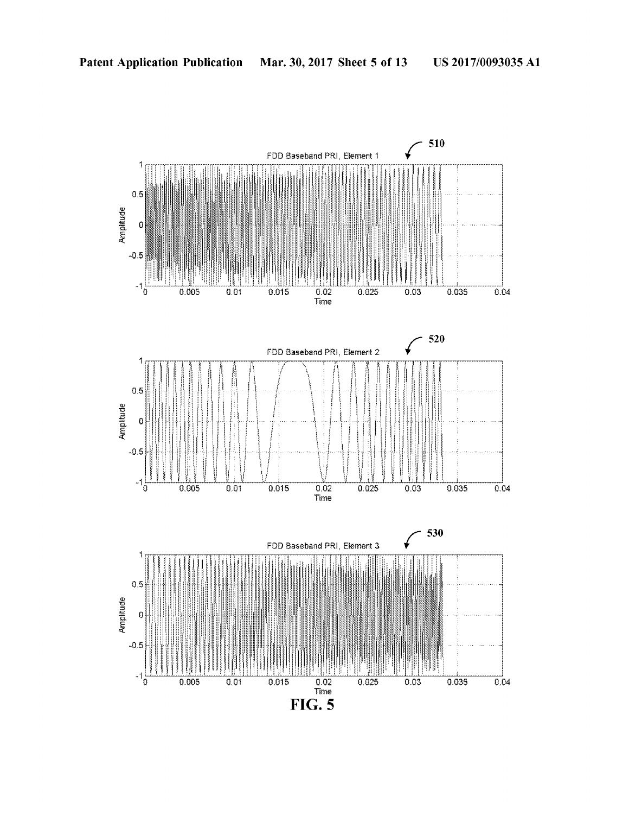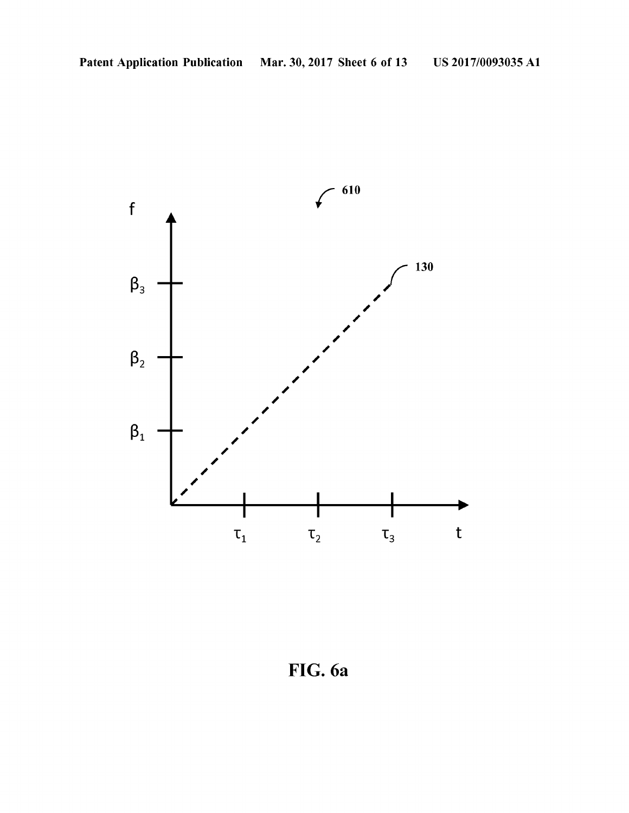

FIG. 6a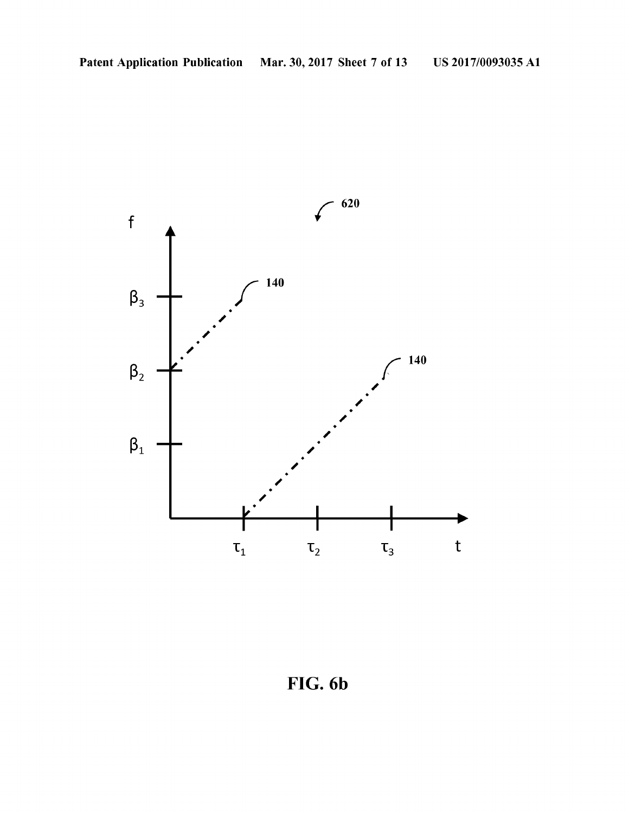

FIG. 6b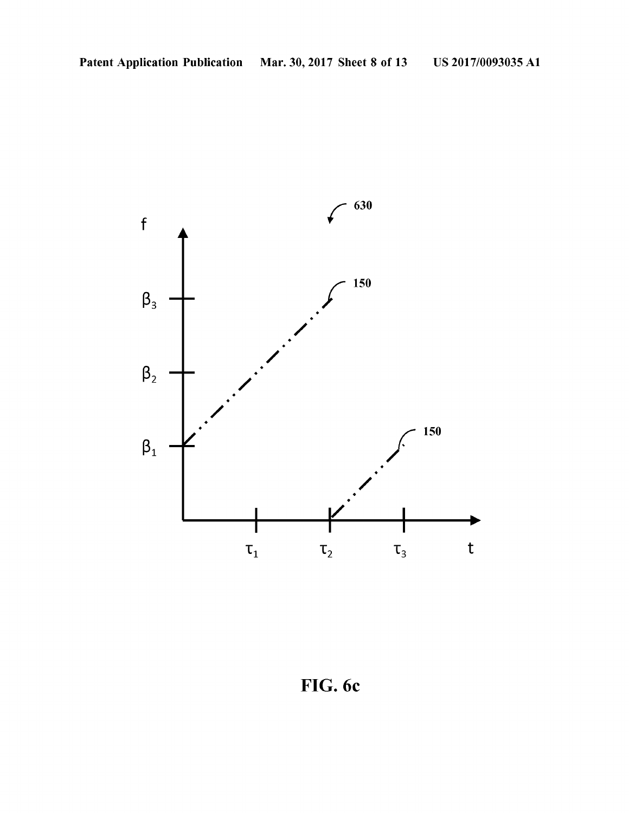

FIG. 6c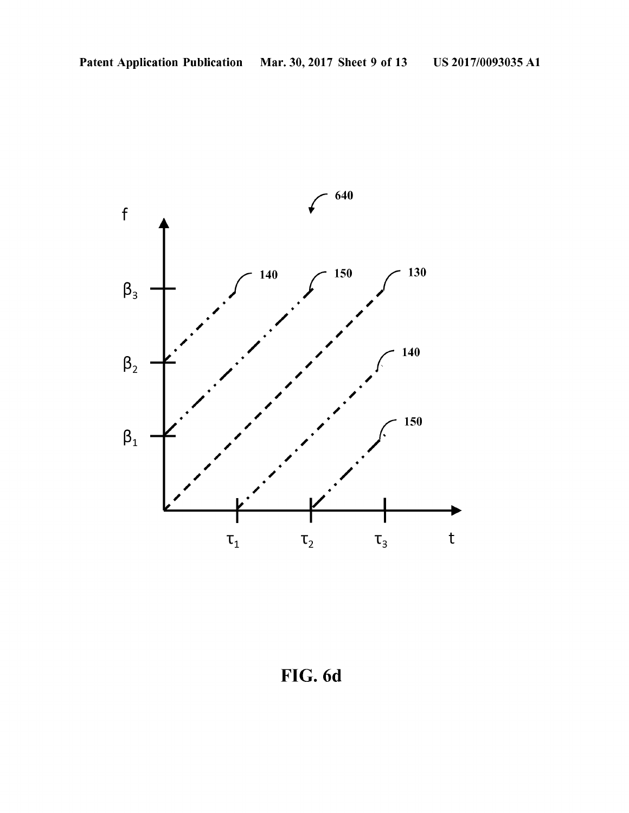

FIG. 6d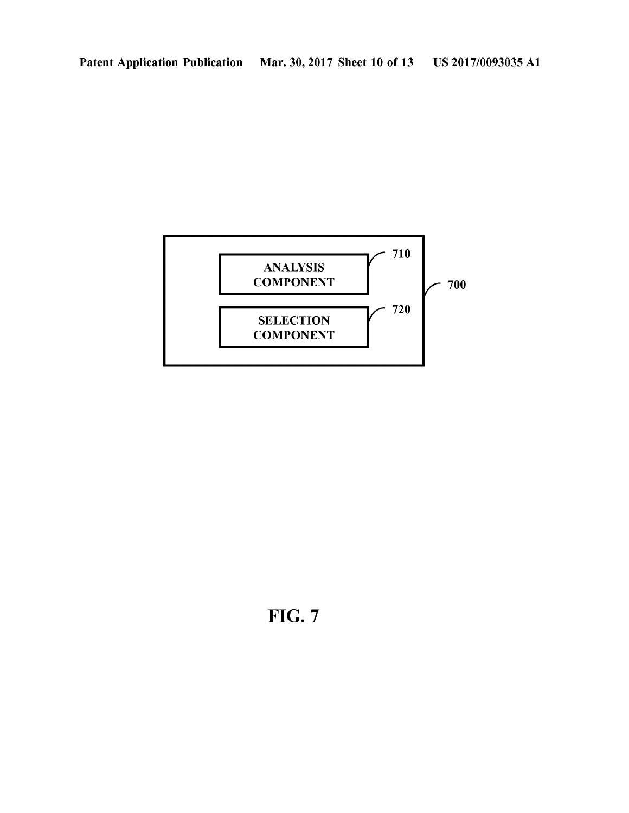

FIG. 7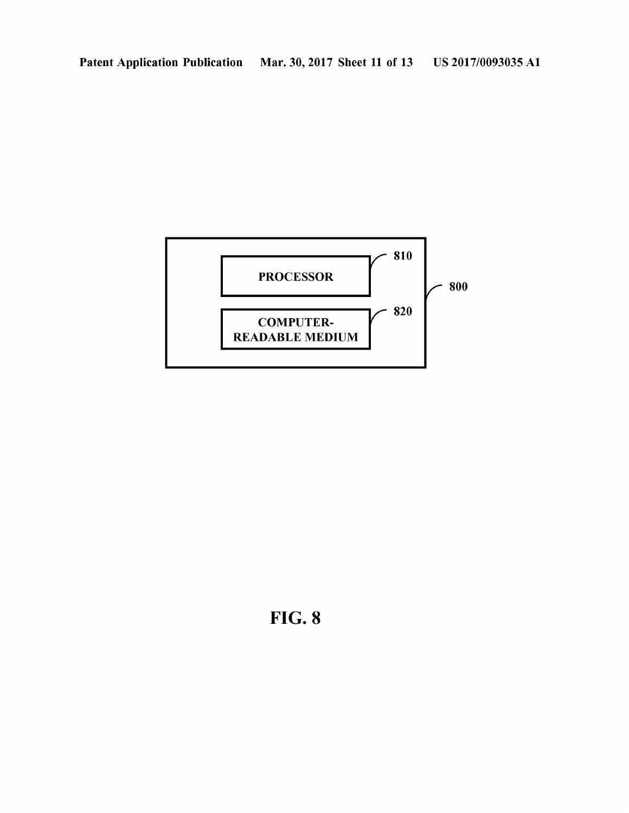

**FIG. 8**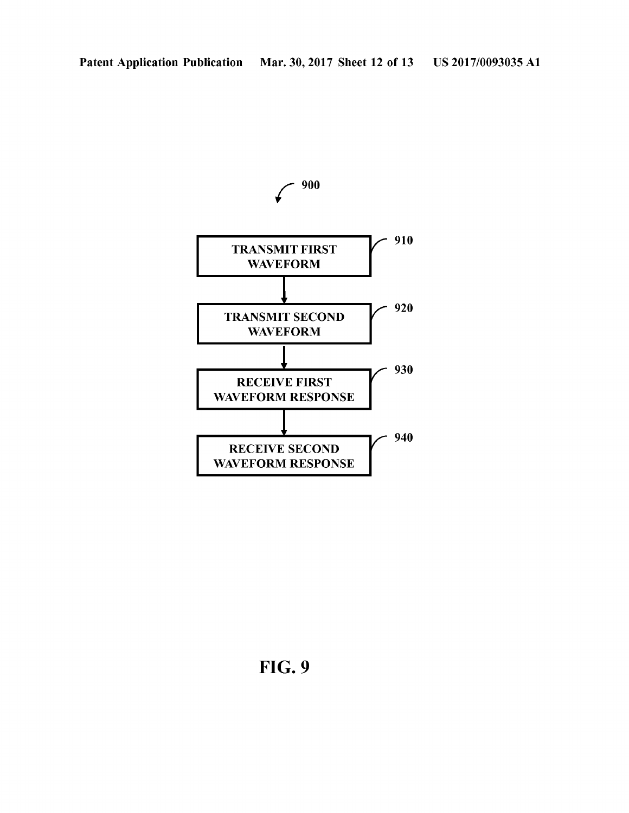

FIG. 9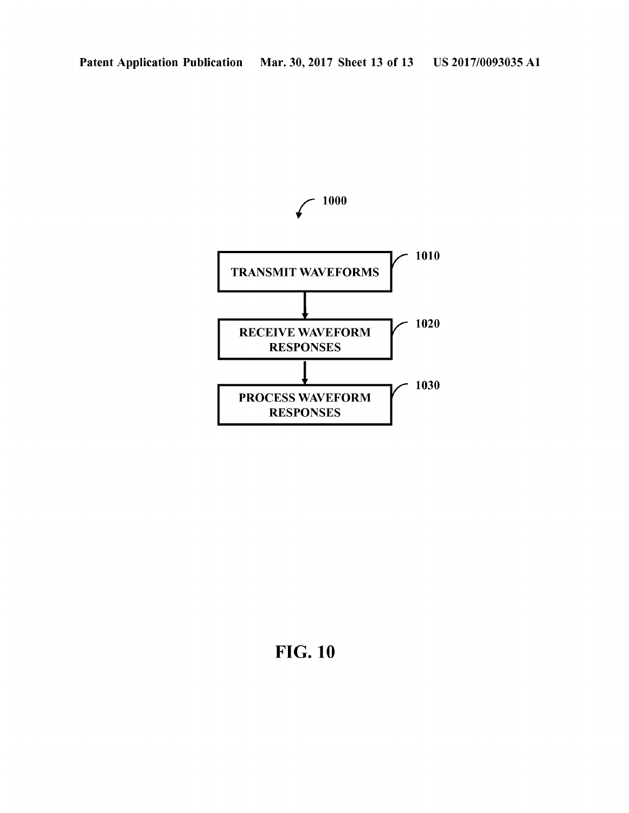

FIG. 10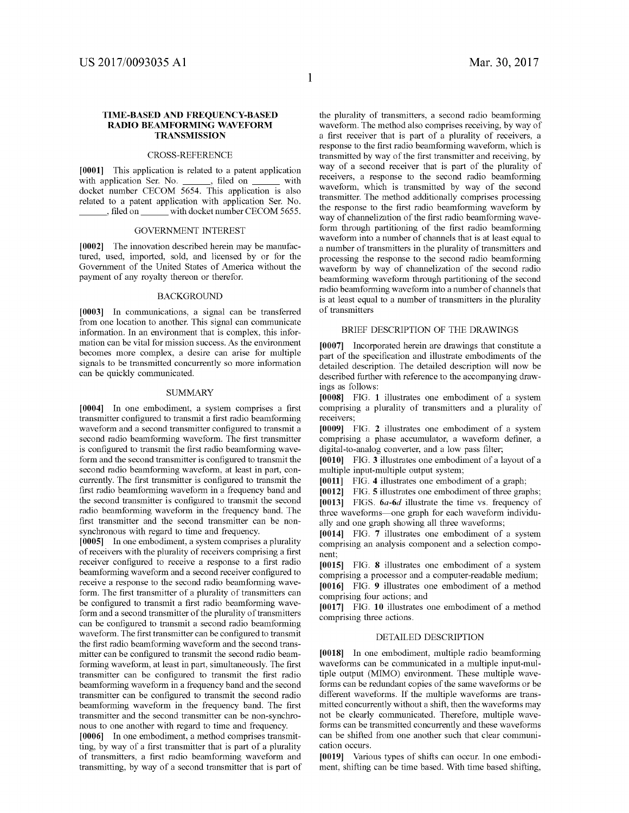### TIME-BASED AND FREQUENCY-BASED RADIO BEAMFORMING WAVEFORM **TRANSMISSION**

#### CROSS-REFERENCE

[0001] This application is related to a patent application with application Ser. No. 1897, filed on 1897 with docket number CECOM 5654. This application is also related to a patent application with application Ser. No. relation application with docket number CECOM 5655.

#### GOVERNMENT INTEREST

[0002] The innovation described herein may be manufactured, used, imported, sold, and licensed by or for the Government of the United States of America without the payment of any royalty thereon or therefor.

### BACKGROUND

[0003] In communications, a signal can be transferred from one location to another. This signal can communicate information. In an environment that is complex, this infor mation can be vital for mission success. As the environment becomes more complex, a desire can arise for multiple signals to be transmitted concurrently so more information can be quickly communicated.

#### SUMMARY

[0004] In one embodiment, a system comprises a first transmitter configured to transmit a first radio beam forming waveform and a second transmitter configured to transmit a second radio beam forming waveform. The first transmitter is configured to transmit the first radio beamforming waveform and the second transmitter is configured to transmit the second radio beamforming waveform, at least in part, concurrently. The first transmitter is configured to transmit the first radio beamforming waveform in a frequency band and the second transmitter is configured to transmit the second radio beam forming waveform in the frequency band. The first transmitter and the second transmitter can be non synchronous with regard to time and frequency.

[0005] In one embodiment, a system comprises a plurality of receivers with the plurality of receivers comprising a first receiver configured to receive a response to a first radio beam forming waveform and a second receiver configured to receive a response to the second radio beam forming wave form. The first transmitter of a plurality of transmitters can be configured to transmit a first radio beamforming waveform and a second transmitter of the plurality of transmitters can be configured to transmit a second radio beam forming waveform. The first transmitter can be configured to transmit the first radio beamforming waveform and the second transmitter can be configured to transmit the second radio beam forming waveform, at least in part, simultaneously. The first transmitter can be configured to transmit the first radio beam forming waveform in a frequency band and the second transmitter can be configured to transmit the second radio beam forming waveform in the frequency band. The first transmitter and the second transmitter can be non-synchro nous to one another with regard to time and frequency.

[0006] In one embodiment, a method comprises transmitting, by way of a first transmitter that is part of a plurality of transmitters, a first radio beam forming waveform and transmitting, by way of a second transmitter that is part of the plurality of transmitters, a second radio beam forming waveform. The method also comprises receiving, by way of a first receiver that is part of a plurality of receivers, a response to the first radio beam forming waveform, which is transmitted by way of the first transmitter and receiving, by way of a second receiver that is part of the plurality of receivers, a response to the second radio beam forming waveform, which is transmitted by way of the second transmitter. The method additionally comprises processing the response to the first radio beamforming waveform by way of channelization of the first radio beamforming waveform through partitioning of the first radio beamforming waveform into a number of channels that is at least equal to a number of transmitters in the plurality of transmitters and processing the response to the second radio beam forming waveform by way of channelization of the second radio beam forming waveform through partitioning of the second radio beam forming waveform into a number of channels that is at least equal to a number of transmitters in the plurality of transmitters

## BRIEF DESCRIPTION OF THE DRAWINGS

[0007] Incorporated herein are drawings that constitute a part of the specification and illustrate embodiments of the detailed description. The detailed description will now be described further with reference to the accompanying draw

ings as follows:<br>[0008] FIG. 1 illustrates one embodiment of a system comprising a plurality of transmitters and a plurality of receivers;<br>[0009] FIG. 2 illustrates one embodiment of a system

comprising a phase accumulator, a waveform definer, a

digital-to-analog converter, and a low pass filter;<br>[0010] FIG. 3 illustrates one embodiment of a layout of a multiple input-multiple output system;

[0011] FIG. 4 illustrates one embodiment of a graph;

[0012] FIG. 5 illustrates one embodiment of three graphs; [0013] FIGS.  $6a-6d$  illustrate the time vs. frequency of three waveforms—one graph for each waveform individu

ally and one graph showing all three waveforms;<br>[0014] FIG. 7 illustrates one embodiment of a system comprising an analysis component and a selection component;<br>[0015] FIG. 8 illustrates one embodiment of a system

comprising a processor and a computer-readable medium; [0016] FIG. 9 illustrates one embodiment of a method comprising four actions; and

[0017] FIG. 10 illustrates one embodiment of a method comprising three actions.

#### DETAILED DESCRIPTION

[0018] In one embodiment, multiple radio beamforming<br>waveforms can be communicated in a multiple input-multiple output (MIMO) environment. These multiple waveforms can be redundant copies of the same waveforms or be different waveforms. If the multiple waveforms are trans mitted concurrently without a shift, then the waveforms may not be clearly communicated. Therefore, multiple wave-<br>forms can be transmitted concurrently and these waveforms can be shifted from one another such that clear communication occurs.

[0019] Various types of shifts can occur. In one embodiment, shifting can be time based. With time based shifting,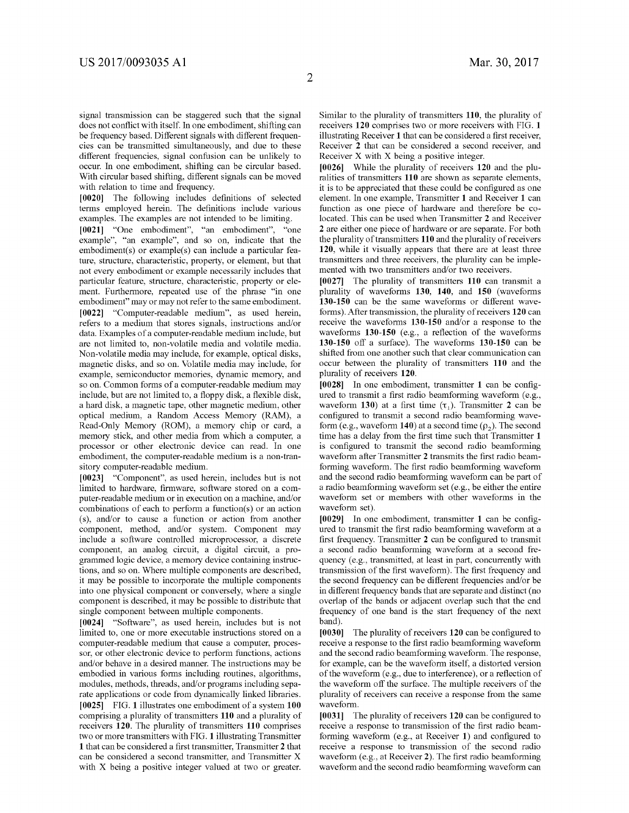signal transmission can be staggered such that the signal does not conflict with itself. In one embodiment, shifting can be frequency based. Different signals with different frequen cies can be transmitted simultaneously, and due to these different frequencies, signal confusion can be unlikely to occur. In one embodiment, shifting can be circular based. With circular based shifting, different signals can be moved with relation to time and frequency.

[0020] The following includes definitions of selected terms employed herein. The definitions include various examples. The examples are not intended to be limiting.

0021 "One embodiment", "an embodiment", "one example", "an example", and so on, indicate that the embodiment(s) or example(s) can include a particular fea ture, structure, characteristic, property, or element, but that not every embodiment or example necessarily includes that particular feature, structure, characteristic, property or ele ment. Furthermore, repeated use of the phrase "in one embodiment" may or may not refer to the same embodiment. [0022] "Computer-readable medium", as used herein, refers to a medium that stores signals, instructions and/or data. Examples of a computer-readable medium include, but are not limited to, non-volatile media and volatile media. Non-volatile media may include, for example, optical disks, magnetic disks, and so on. Volatile media may include, for example, semiconductor memories, dynamic memory, and so on. Common forms of a computer-readable medium may include, but are not limited to, a floppy disk, a flexible disk, a hard disk, a magnetic tape, other magnetic medium, other optical medium, a Random Access Memory (RAM), a Read-Only Memory (ROM), a memory chip or card, a memory stick, and other media from which a computer, a processor or other electronic device can read. In one embodiment, the computer-readable medium is a non-tran sitory computer-readable medium.

[0023] "Component", as used herein, includes but is not limited to hardware, firmware, software stored on a computer-readable medium or in execution on a machine, and/or combinations of each to perform a function(s) or an action (s), and/or to cause a function or action from another component, method, and/or system. Component may include a Software controlled microprocessor, a discrete component, an analog circuit, a digital circuit, a pro grammed logic device, a memory device containing instructions, and so on. Where multiple components are described, it may be possible to incorporate the multiple components into one physical component or conversely, where a single component is described, it may be possible to distribute that single component between multiple components.

[0024] "Software", as used herein, includes but is not limited to, one or more executable instructions stored on a computer-readable medium that cause a computer, proces sor, or other electronic device to perform functions, actions and/or behave in a desired manner. The instructions may be embodied in various forms including routines, algorithms, modules, methods, threads, and/or programs including sepa rate applications or code from dynamically linked libraries. [0025] FIG. 1 illustrates one embodiment of a system 100 comprising a plurality of transmitters 110 and a plurality of receivers 120. The plurality of transmitters 110 comprises two or more transmitters with FIG. 1 illustrating Transmitter 1 that can be considered a first transmitter, Transmitter 2 that can be considered a second transmitter, and Transmitter X with X being a positive integer valued at two or greater.

Similar to the plurality of transmitters 110, the plurality of receivers 120 comprises two or more receivers with FIG. 1 illustrating Receiver 1 that can be considered a first receiver, Receiver 2 that can be considered a second receiver, and Receiver X with X being a positive integer.

[0026] While the plurality of receivers 120 and the pluralities of transmitters 110 are shown as separate elements, it is to be appreciated that these could be configured as one element. In one example, Transmitter 1 and Receiver 1 can function as one piece of hardware and therefore be co located. This can be used when Transmitter 2 and Receiver 2 are either one piece of hardware or are separate. For both the plurality of transmitters 110 and the plurality of receivers 120, while it visually appears that there are at least three transmitters and three receivers, the plurality can be imple mented with two transmitters and/or two receivers.

[0027] The plurality of transmitters 110 can transmit a plurality of waveforms 130, 140, and 150 (waveforms 130-150 can be the same waveforms or different wave forms). After transmission, the plurality of receivers 120 can receive the waveforms 130-150 and/or a response to the waveforms 130-150 (e.g., a reflection of the waveforms 130-150 off a surface). The waveforms 130-150 can be shifted from one another such that clear communication can occur between the plurality of transmitters 110 and the plurality of receivers 120.

[0028] In one embodiment, transmitter 1 can be configured to transmit a first radio beamforming waveform (e.g., waveform 130) at a first time  $(\tau_1)$ . Transmitter 2 can be configured to transmit a second radio beam forming wave form (e.g., waveform 140) at a second time  $(\rho_2)$ . The second time has a delay from the first time such that Transmitter 1 is configured to transmit the second radio beam forming waveform after Transmitter 2 transmits the first radio beamforming waveform. The first radio beamforming waveform and the second radio beam forming waveform can be part of a radio beam forming waveform set (e.g., be either the entire waveform set or members with other waveforms in the waveform set).

[0029] In one embodiment, transmitter 1 can be configured to transmit the first radio beam forming waveform at a first frequency. Transmitter 2 can be configured to transmit a second radio beam forming waveform at a second fre quency (e.g., transmitted, at least in part, concurrently with transmission of the first waveform). The first frequency and the second frequency can be different frequencies and/or be in different frequency bands that are separate and distinct (no overlap of the bands or adjacent overlap such that the end frequency of one band is the start frequency of the next band).

[0030] The plurality of receivers 120 can be configured to receive a response to the first radio beam forming waveform and the second radio beam forming waveform. The response, for example, can be the waveform itself, a distorted version of the waveform (e.g., due to interference), or a reflection of the waveform off the surface. The multiple receivers of the plurality of receivers can receive a response from the same waveform.

[0031] The plurality of receivers 120 can be configured to receive a response to transmission of the first radio beam forming waveform (e.g., at Receiver 1) and configured to receive a response to transmission of the second radio waveform (e.g., at Receiver 2). The first radio beamforming waveform and the second radio beamforming waveform can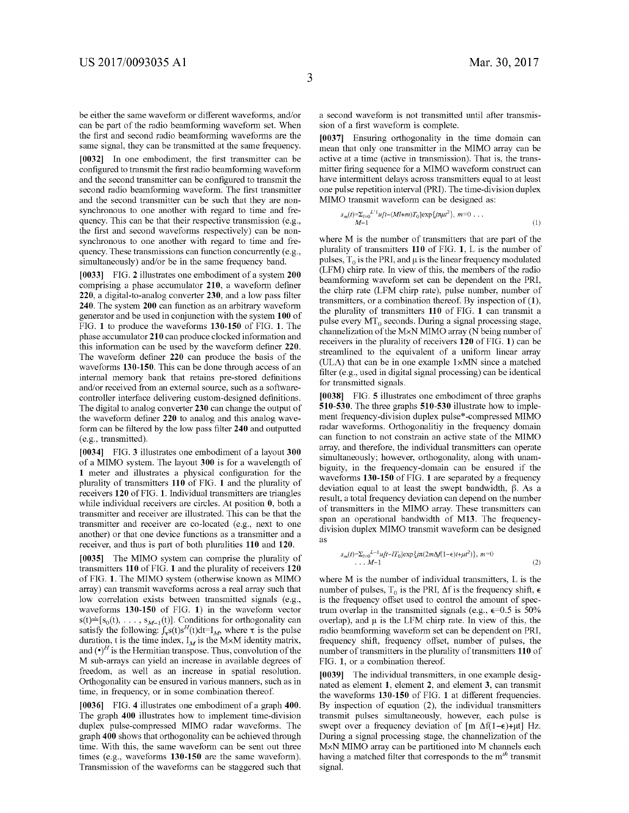be either the same waveform or different waveforms, and/or can be part of the radio beamforming waveform set. When the first and second radio beamforming waveforms are the same signal, they can be transmitted at the same frequency.

[0032] In one embodiment, the first transmitter can be configured to transmit the first radio beamforming waveform and the second transmitter can be configured to transmit the second radio beamforming waveform. The first transmitter and the second transmitter can be such that they are nonsynchronous to one another with regard to time and frequency. This can be that their respective transmission (e.g., the first and second waveforms respectively) can be nonsynchronous to one another with regard to time and frequency. These transmissions can function concurrently (e.g., simultaneously) and/or be in the same frequency band.

[0033] FIG. 2 illustrates one embodiment of a system 200 comprising a phase accumulator 210, a waveform definer 220, a digital-to-analog converter 230, and a low pass filter 240. The system 200 can function as an arbitrary waveform generator and be used in conjunction with the system 100 of FIG. 1 to produce the waveforms 130-150 of FIG. 1. The phase accumulator 210 can produce clocked information and this information can be used by the waveform definer 220. The waveform definer 220 can produce the basis of the waveforms 130-150. This can be done through access of an internal memory bank that retains pre-stored definitions and/or received from an external source, such as a softwarecontroller interface delivering custom-designed definitions. The digital to analog converter 230 can change the output of the waveform definer 220 to analog and this analog waveform can be filtered by the low pass filter 240 and outputted (e.g., transmitted).

[0034] FIG. 3 illustrates one embodiment of a layout 300 of a MIMO system. The layout 300 is for a wavelength of 1 meter and illustrates a physical configuration for the plurality of transmitters 110 of FIG. 1 and the plurality of receivers 120 of FIG. 1. Individual transmitters are triangles while individual receivers are circles. At position 0, both a transmitter and receiver are illustrated. This can be that the transmitter and receiver are co-located (e.g., next to one another) or that one device functions as a transmitter and a receiver, and thus is part of both pluralities 110 and 120.

[0035] The MIMO system can comprise the plurality of transmitters 110 of FIG. 1 and the plurality of receivers 120 of FIG. 1. The MIMO system (otherwise known as MIMO array) can transmit waveforms across a real array such that low correlation exists between transmitted signals (e.g., waveforms 130-150 of FIG. 1) in the waveform vector  $s(t) = [s_0(t), \ldots, s_{M-1}(t)].$  Conditions for orthogonality can satisfy the following:  $\int_{\tau} s(t) s^{H}(t) dt = I_{M}$ , where  $\tau$  is the pulse duration, t is the time index,  $I_M$  is the M×M identity matrix, and  $(\cdot)^{H}$  is the Hermitian transpose. Thus, convolution of the M sub-arrays can yield an increase in available degrees of freedom, as well as an increase in spatial resolution. Orthogonality can be ensured in various manners, such as in time, in frequency, or in some combination thereof.

[0036] FIG. 4 illustrates one embodiment of a graph 400. The graph 400 illustrates how to implement time-division duplex pulse-compressed MIMO radar waveforms. The graph 400 shows that orthogonality can be achieved through time. With this, the same waveform can be sent out three times (e.g., waveforms 130-150 are the same waveform). Transmission of the waveforms can be staggered such that a second waveform is not transmitted until after transmission of a first waveform is complete.

[0037] Ensuring orthogonality in the time domain can mean that only one transmitter in the MIMO array can be active at a time (active in transmission). That is, the transmitter firing sequence for a MIMO waveform construct can have intermittent delays across transmitters equal to at least one pulse repetition interval (PRI). The time-division duplex MIMO transmit waveform can be designed as:

$$
s_m(t) = \sum_{l=0}^{r-1} u/l - (M+m)T_0 \exp{\{j\pi\mu t^2\}}, \ m = 0 \dots
$$
  
(1)

where M is the number of transmitters that are part of the plurality of transmitters  $110$  of FIG. 1, L is the number of pulses,  $T_0$  is the PRI, and  $\mu$  is the linear frequency modulated (LFM) chirp rate. In view of this, the members of the radio beamforming waveform set can be dependent on the PRI, the chirp rate (LFM chirp rate), pulse number, number of transmitters, or a combination thereof. By inspection of  $(1)$ , the plurality of transmitters 110 of FIG. 1 can transmit a pulse every  $MT_0$  seconds. During a signal processing stage, channelization of the M×N MIMO array (N being number of receivers in the plurality of receivers 120 of FIG. 1) can be streamlined to the equivalent of a uniform linear array (ULA) that can be in one example 1xMN since a matched filter (e.g., used in digital signal processing) can be identical for transmitted signals.

[0038] FIG. 5 illustrates one embodiment of three graphs 510-530. The three graphs 510-530 illustrate how to implement frequency-division duplex pulse\*-compressed MIMO radar waveforms. Orthogonalitiv in the frequency domain can function to not constrain an active state of the MIMO array, and therefore, the individual transmitters can operate simultaneously; however, orthogonality, along with unambiguity, in the frequency-domain can be ensured if the waveforms 130-150 of FIG. 1 are separated by a frequency deviation equal to at least the swept bandwidth,  $\beta$ . As a result, a total frequency deviation can depend on the number of transmitters in the MIMO array. These transmitters can span an operational bandwidth of M13. The frequencydivision duplex MIMO transmit waveform can be designed as

$$
s_m(t) = \sum_{l=0}^{L-1} u_l(t - lT_0) \exp\{j\pi(2m\Delta f(1-\epsilon)t + \mu t^2)\}, \ m=0
$$
  
... 
$$
M-1
$$
 (2)

where M is the number of individual transmitters, L is the number of pulses,  $T_0$  is the PRI,  $\Delta f$  is the frequency shift,  $\epsilon$ is the frequency offset used to control the amount of spectrum overlap in the transmitted signals (e.g.,  $\epsilon$ =0.5 is 50% overlap), and  $\mu$  is the LFM chirp rate. In view of this, the radio beamforming waveform set can be dependent on PRI, frequency shift, frequency offset, number of pulses, the number of transmitters in the plurality of transmitters 110 of FIG. 1, or a combination thereof.

[0039] The individual transmitters, in one example designated as element 1, element 2, and element 3, can transmit the waveforms 130-150 of FIG. 1 at different frequencies. By inspection of equation (2), the individual transmitters transmit pulses simultaneously, however, each pulse is swept over a frequency deviation of  $[m \Delta f(1-\epsilon)+\mu t]$  Hz. During a signal processing stage, the channelization of the MxN MIMO array can be partitioned into M channels each having a matched filter that corresponds to the  $m<sup>th</sup>$  transmit signal.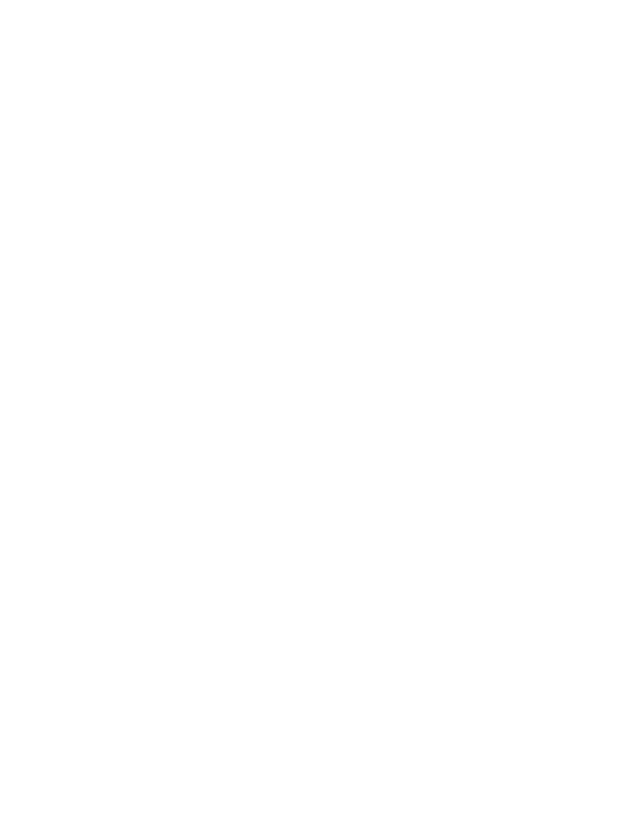[0040] FIGS.  $6a-6d$  illustrate the time vs. frequency of the three waveforms 130-150-one graph for each waveform individually (graphs 610-630) and one graph 640 showing all three waveforms. As graph 640 illustrates, the waveforms can be communicated simultaneously, occupying different bandwidths (or within distinct bandwidth ranges) at the same time. At time (t) of  $\tau_1$ , the first waveform 130 is at a frequency (f) of  $\beta_1$ , the second waveform 140 is at a frequency (f) of  $\beta_3$  and the third waveform 150 is at a frequency (f) of  $\beta_2$ . Therefore, at the same time the waveforms 130-150 can be at different frequencies. At time of  $\tau$ , the first waveform 130 is at a frequency (f) of  $\beta$ , while the second waveform 140 is at a frequency (f) of  $\beta_1$  and the third waveform 150 is at a frequency (f) of  $\beta_3$ . Therefore, the waveforms 130-150 can occupy the same frequency, but at different times.

[0041] By encoding a waveform (e.g., radar waveform) using a combination of time-division duplex pulse-compressed and frequency-division duplex pulse-compressed techniques (the combination can be considered a circularshifted duplex pulse-compressed technique), orthogonality can be achieved in an efficient manner. That is, the MIMO system (e.g., MIMO radar system) can function without staggering a transmitter firing sequence, as is done with time-division duplex pulse compression, and the MIMO system can function without the need to span a large operational bandwidth as is done with frequency-division duplex pulse compression. By circular-shifting, the individual transmitters of the plurality of transmitters 110 of FIG. 1 are able to fire simultaneously while operating over one instantiation of swept bandwidth,  $\beta$ . The circular-shifted duplex MIMO transmit waveform can be designed as:

$$
s_m(t) = \sum_{l=0}^{L-1} a(l - l) \cdot m = 0 \dots M - 1 \tag{3}
$$

where

$$
a(t) = \sum_{m=0}^{M-1} \sum_{z=0}^{Z-1} u \{ t - z T_b \} \exp\{j\pi (2\delta_{m,z} t + \mu t^2) \}
$$
 (4)

and where M is the number of transmit elements, L is the number of pulses, Z is the number of sub-pulses,  $T_0$  is the PRI,  $T_b = \tau/Z$  is the sub-pulse defined as a function of the total pulse duration  $\tau$ ,  $\delta_{m,z} = \Delta f \{ (z-m)_{mod-z} \}$  is the sub-carrier frequency step (mod  $\tilde{Z}$ ) defined as a function of  $\Delta f = \beta/Z$ , and  $\mu$  is the LFM chirp rate. Therefore, the radio beamforming waveform set can be dependent on the number of sub-pulses, the sub-pulse duration, and the number of sub-carriers, the sub-carrier frequency step, PRI, the number of pulses, the chirp rate, or a combination thereof. During signal processing stages, channelization of the MxN circular-shifted MIMO can be partitioned into M channels, which each have a matched filter that corresponds to the transmit signals.

[0042] FIG. 7 illustrates one embodiment of a system 700 comprising an analysis component 710 and a selection component 720. The analysis component 710 can perform an analysis on situation to produce an analysis result. Based, at least in part, on the analysis result, the selection component 720 can select a pulse compression technique to use. [0043] In one example, the analysis component 710 can analyze waveforms for transmission. The result from this analysis can be that the waveforms are identical. The selection component 720 can determine that time-division duplex pulse compression is appropriate.

[0044] In another example, the analysis component 710 can analyze waveforms for transmission. The result from this analysis can be that the waveforms are not identical. The selection component 720 can determine that either the circular-shifted duplex pulse compressed technique or the frequency-shifted duplex pulse compressed technique is appropriate. The selection component 720 can select one of these two techniques, such as through determining an available frequency band and subsequently basing this decision depending on the available frequency band.

[0045] FIG. 8 illustrates one embodiment of a system 800 comprising a processor 810 (e.g., a general purpose processor or a processor specifically designed for performing functionality disclosed herein) and a computer-readable medium 820 (e.g., non-transitory computer-readable medium). In one embodiment, the processor 810 is a pulse compression processor configured to process the first and second radio beamforming waveforms through pulse compression. In one embodiment, the computer-readable medium 820 is communicatively coupled to the processor 810 and stores a command set executable by the processor 810 to facilitate operation of at least one component disclosed herein (e.g., the analysis component 710 of FIG. 7 or a selection component configured to select the delay). In one embodiment, at least one component disclosed herein (e.g., the selection component 720 of FIG. 7) can be implemented, at least in part, by way of non-software, such as implemented as hardware by way of the system 800. In one embodiment, the computer-readable medium 820 is configured to store processor-executable instructions that, when executed by the processor 810, cause the processor 810 to perform a method disclosed herein (e.g., the methods 900-1000 addressed below).

[0046] FIG. 9 illustrates one embodiment of a method 900 comprising four actions 910-940. At 910, transmitting a first radio beamforming waveform at a first time can occur. This can be done by way of the first transmitter, which is part of the plurality of transmitters 110 of FIG. 1. At 920, transmitting a second radio beamforming waveform can occur. This transmission can occur either at the first time or at a second time after transmission of the first radio beamforming waveform at the first time at 910. Also, this transmission can be done by way of the second transmitter that is part of the plurality of transmitters 110 of FIG. 1. The first radio beamforming waveform and the second radio beamforming waveform can be either at the same frequency or different frequencies. At 930, receiving a response to the first radio beamforming waveform can take place, and at 940, receiving a response to the second radio beamforming waveform can take place. These two receptions can be performed by receivers of the plurality of receivers 120 of FIG. 1.

[0047] FIG. 10 illustrates one embodiment of a method 1000 comprising three actions 1010-1030. At 1010, transmitting a first radio beamforming waveform can occur. This can be by way of a first transmitter that is part of the plurality of transmitters 110 of FIG. 1. Also at 1010, transmitting a second radio beamforming waveform can occur. This can be by way of a first transmitter that is part of the plurality of transmitters 110 of FIG. 1. At 1020, receiving a response to the first radio beamforming waveform, which is transmitted by way of the first transmitter, can occur. This can be done by way of a first receiver that is part of the plurality of receivers 120 of FIG. 1. Also at 1020, receiving a response to the second radio beamforming waveform, which is transmitted by way of the first transmitter, can occur. This can be done by way of a second receiver that is part of the plurality of receivers 120 of FIG. 1. At 1030, processing the response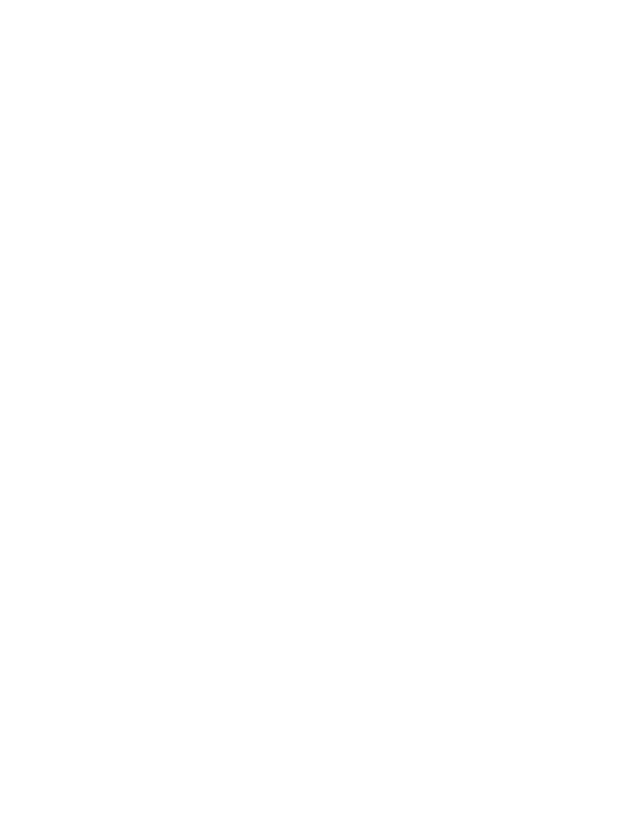5

to the first radio beamforming waveform can occur by way of channelization of the first radio beamforming waveform through partitioning of the first radio beamforming waveform into a number of channels that is at least equal to a number of transmitters in the plurality of transmitters. Also at 1030, processing the response to the second radio beamforming waveform can occur by way of channelization of the second radio beamforming waveform through partitioning of the second radio beamforming waveform into a number of channels that is at least equal to a number of transmitters in the plurality of transmitters 110 of FIG. 1. This aforementioned processing can be performed by the processor 810 of FIG. 8.

[0048] While the methods disclosed herein are shown and described as a series of blocks, it is to be appreciated by one of ordinary skill in the art that the methods are not restricted by the order of the blocks, as some blocks can take place in different orders. Similarly, a block can operate concurrently with at least one other block.

What is claimed is:

- 1. A system, comprising:
- a first transmitter configured to transmit a first radio beamforming waveform; and
- a second transmitter configured to transmit a second radio beamforming waveform,
- where the first transmitter is configured to transmit the first radio beamforming waveform and the second transmitter is configured to transmit the second radio beamforming waveform, at least in part, concurrently,
- where the first transmitter is configured to transmit the first radio beamforming waveform in a frequency band,
- where the second transmitter is configured to transmit the second radio beamforming waveform in the frequency band, and
- where the first transmitter and the second transmitter are non-synchronous with regard to time and frequency.
- 2. The system of claim 1,
- where the first radio beamforming waveform and the second radio beamforming waveform are a radio beamforming waveform set and
- where the radio beamforming waveform set is dependent on a number of pulses.
- 3. The system of claim 2,
- where the first radio beamforming waveform and the second radio beamforming waveform are a radio beamforming waveform set and
- where the radio beamforming waveform set is dependent on a number of sub-pulses.
- 4. The system of claim 3,
- where the first radio beamforming waveform and the second radio beamforming waveform are a radio beamforming waveform set and
- where the radio beamforming waveform set is dependent on a sub-pulse duration.
- 5. The system of claim 1,
- where the first radio beamforming waveform and the second radio beamforming waveform are a radio beamforming waveform set and
- where the radio beamforming waveform set is dependent on a chirp rate.
- 6. The system of claim 1,
- where the first radio beamforming waveform and the second radio beamforming waveform are a radio beamforming waveform set and
- where the radio beamforming waveform set is dependent on a sub-carrier frequency step.
- 7. The system of claim 1,
- where the first radio beamforming waveform and the second radio beamforming waveform are a radio beamforming waveform set and
- where the radio beamforming waveform set is dependent on a pulse repetition interval.
- 8. The system of claim 1,
- where the first radio beamforming waveform and the second radio beamforming waveform are a radio beamforming waveform set and
- where the radio beamforming waveform set is dependent on a number of pulses.
- 9. The system of claim 1, comprising:
- a processor configured to:
	- process a response to the first radio beamforming waveform by way of channelization of the first radio beamforming waveform through a partition of the first radio beamforming waveform into a number of channels equal to at least two and
	- process a response to the second radio beamforming waveform by way of channelization of the second radio beamforming waveform through partitioning of the second radio beamforming waveform into a number of channels equal to at least two.
- 10. A system, comprising:
- a plurality of receivers comprising:
	- a first receiver configured to receive a response to a first radio beamforming waveform; and
	- a second receiver configured to receive a response to the second radio beamforming waveform,
- where a first transmitter of a plurality of transmitters is configured to transmit a first radio beamforming waveform.
- where a second transmitter of the plurality of transmitters is configured to transmit a second radio beamforming waveform.
- where the first transmitter is configured to transmit the first radio beamforming waveform and the second transmitter is configured to transmit the second radio beamforming waveform, at least in part, simultaneously,
- where the first transmitter is configured to transmit the first radio beamforming waveform in a frequency band,
- where the second transmitter is configured to transmit the second radio beamforming waveform in the frequency band, and
- where the first transmitter and the second transmitter are non-synchronous to one another with regard to time and frequency.

11. The system of claim 10, where the first receiver and the first transmitter are co-located.

- 12. The system of claim 10.
- where the first radio beamforming waveform and the second radio beamforming waveform are a radio beamforming waveform set and
- where the radio beamforming waveform set is dependent on a number of sub-pulses.
- 13. The system of claim 12,
- where the first radio beamforming waveform and the second radio beamforming waveform are a radio beamforming waveform set and